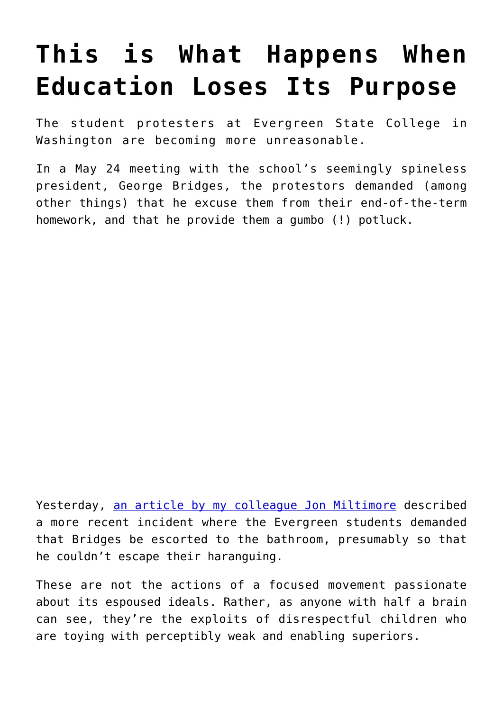## **[This is What Happens When](https://intellectualtakeout.org/2017/06/this-is-what-happens-when-education-loses-its-purpose/) [Education Loses Its Purpose](https://intellectualtakeout.org/2017/06/this-is-what-happens-when-education-loses-its-purpose/)**

The student protesters at Evergreen State College in Washington are becoming more unreasonable.

In a May 24 meeting with the school's seemingly spineless president, George Bridges, the protestors demanded (among other things) that he excuse them from their end-of-the-term homework, and that he provide them a gumbo (!) potluck.

Yesterday, [an article by my colleague Jon Miltimore](https://www.intellectualtakeout.org/article/evergreen-insanity-students-forced-college-pres-pee-under-escort) described a more recent incident where the Evergreen students demanded that Bridges be escorted to the bathroom, presumably so that he couldn't escape their haranguing.

These are not the actions of a focused movement passionate about its espoused ideals. Rather, as anyone with half a brain can see, they're the exploits of disrespectful children who are toying with perceptibly weak and enabling superiors.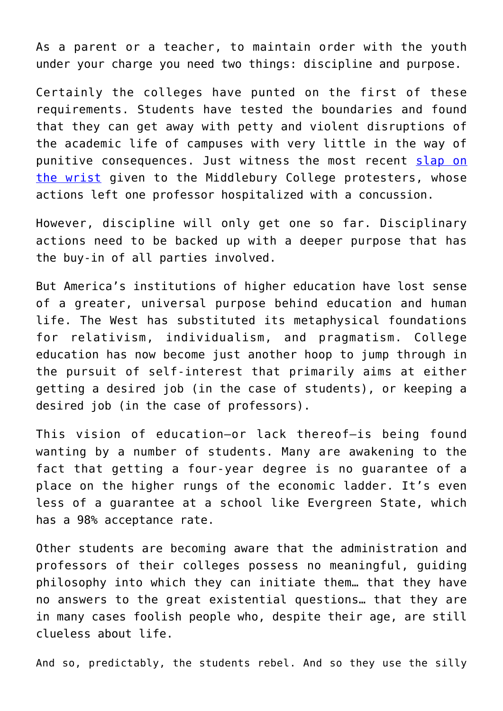As a parent or a teacher, to maintain order with the youth under your charge you need two things: discipline and purpose.

Certainly the colleges have punted on the first of these requirements. Students have tested the boundaries and found that they can get away with petty and violent disruptions of the academic life of campuses with very little in the way of punitive consequences. Just witness the most recent [slap on](http://www.washingtonexaminer.com/middlebury-completes-disciplinary-process-over-charles-murray-protest-with-wrist-slaps-for-implicated-students/article/2623987) [the wrist](http://www.washingtonexaminer.com/middlebury-completes-disciplinary-process-over-charles-murray-protest-with-wrist-slaps-for-implicated-students/article/2623987) given to the Middlebury College protesters, whose actions left one professor hospitalized with a concussion.

However, discipline will only get one so far. Disciplinary actions need to be backed up with a deeper purpose that has the buy-in of all parties involved.

But America's institutions of higher education have lost sense of a greater, universal purpose behind education and human life. The West has substituted its metaphysical foundations for relativism, individualism, and pragmatism. College education has now become just another hoop to jump through in the pursuit of self-interest that primarily aims at either getting a desired job (in the case of students), or keeping a desired job (in the case of professors).

This vision of education—or lack thereof—is being found wanting by a number of students. Many are awakening to the fact that getting a four-year degree is no guarantee of a place on the higher rungs of the economic ladder. It's even less of a guarantee at a school like Evergreen State, which has a 98% acceptance rate.

Other students are becoming aware that the administration and professors of their colleges possess no meaningful, guiding philosophy into which they can initiate them… that they have no answers to the great existential questions… that they are in many cases foolish people who, despite their age, are still clueless about life.

And so, predictably, the students rebel. And so they use the silly